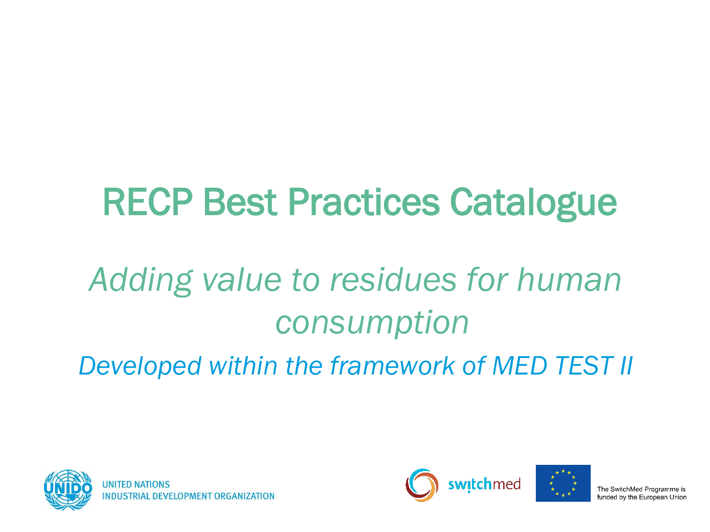# RECP Best Practices Catalogue

# *Adding value to residues for human consumption*

*Developed within the framework of MED TEST II*





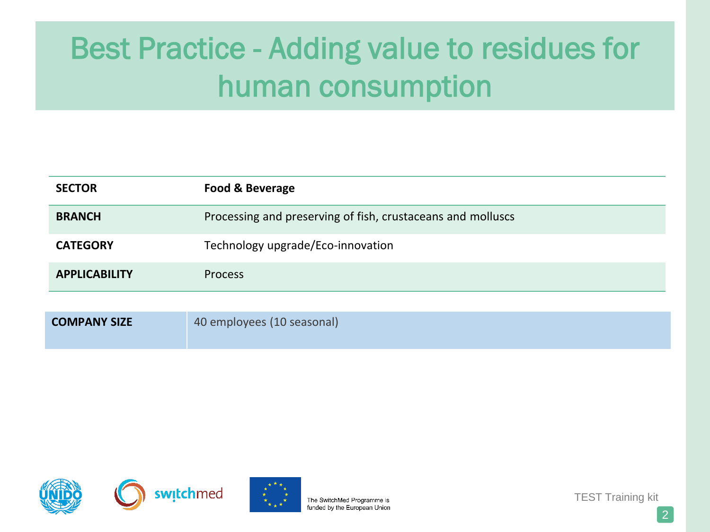| <b>SECTOR</b>        | <b>Food &amp; Beverage</b>                                  |
|----------------------|-------------------------------------------------------------|
| <b>BRANCH</b>        | Processing and preserving of fish, crustaceans and molluscs |
| <b>CATEGORY</b>      | Technology upgrade/Eco-innovation                           |
| <b>APPLICABILITY</b> | <b>Process</b>                                              |
|                      |                                                             |
| <b>COMPANY SIZE</b>  | 40 employees (10 seasonal)                                  |







The SwitchMed Programme is funded by the European Union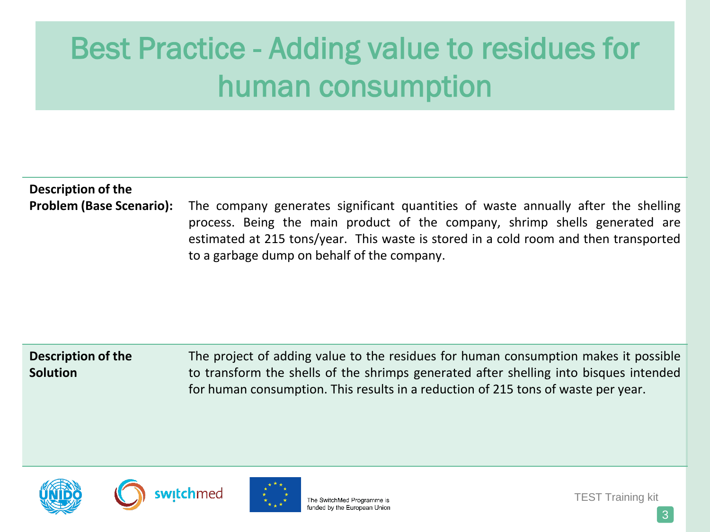### **Description of the**

**Problem (Base Scenario):** The company generates significant quantities of waste annually after the shelling process. Being the main product of the company, shrimp shells generated are estimated at 215 tons/year. This waste is stored in a cold room and then transported to a garbage dump on behalf of the company.

#### **Description of the Solution** The project of adding value to the residues for human consumption makes it possible to transform the shells of the shrimps generated after shelling into bisques intended for human consumption. This results in a reduction of 215 tons of waste per year.







The SwitchMed Programme is funded by the European Union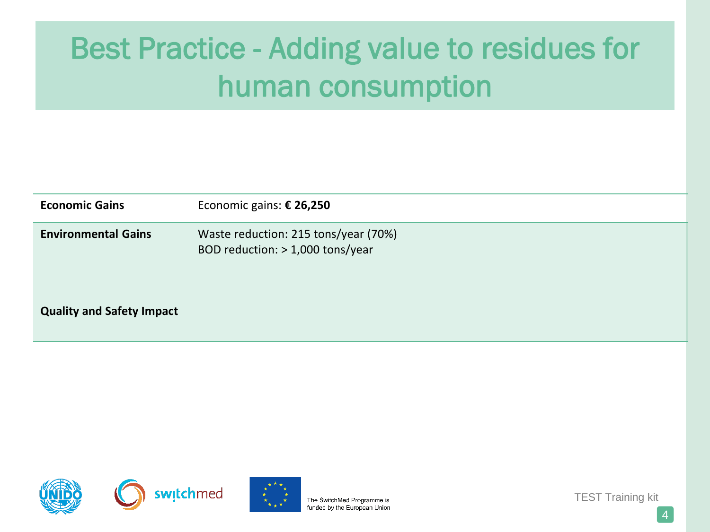| <b>Economic Gains</b>            | Economic gains: € 26,250                                                 |
|----------------------------------|--------------------------------------------------------------------------|
| <b>Environmental Gains</b>       | Waste reduction: 215 tons/year (70%)<br>BOD reduction: > 1,000 tons/year |
| <b>Quality and Safety Impact</b> |                                                                          |